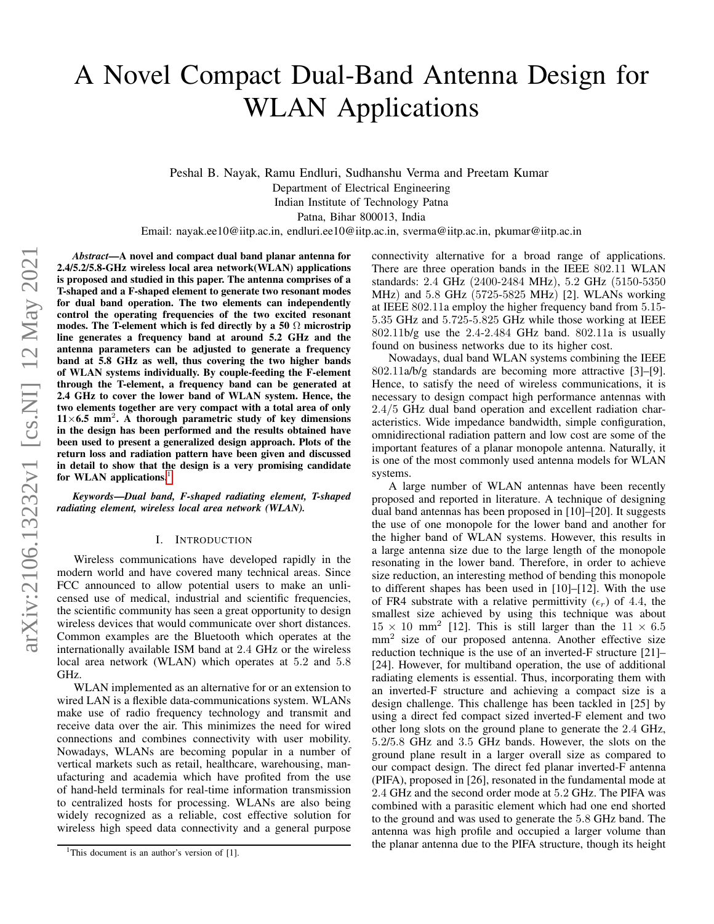# A Novel Compact Dual-Band Antenna Design for WLAN Applications

Peshal B. Nayak, Ramu Endluri, Sudhanshu Verma and Preetam Kumar Department of Electrical Engineering Indian Institute of Technology Patna Patna, Bihar 800013, India

Email: nayak.ee10@iitp.ac.in, endluri.ee10@iitp.ac.in, sverma@iitp.ac.in, pkumar@iitp.ac.in

*Abstract*—A novel and compact dual band planar antenna for 2.4/5.2/5.8-GHz wireless local area network(WLAN) applications is proposed and studied in this paper. The antenna comprises of a T-shaped and a F-shaped element to generate two resonant modes for dual band operation. The two elements can independently control the operating frequencies of the two excited resonant modes. The T-element which is fed directly by a 50  $\Omega$  microstrip line generates a frequency band at around 5.2 GHz and the antenna parameters can be adjusted to generate a frequency band at 5.8 GHz as well, thus covering the two higher bands of WLAN systems individually. By couple-feeding the F-element through the T-element, a frequency band can be generated at 2.4 GHz to cover the lower band of WLAN system. Hence, the two elements together are very compact with a total area of only  $11\times 6.5$  mm<sup>2</sup>. A thorough parametric study of key dimensions in the design has been performed and the results obtained have been used to present a generalized design approach. Plots of the return loss and radiation pattern have been given and discussed in detail to show that the design is a very promising candidate for WLAN applications.<sup>[1](#page-0-0)</sup>

*Keywords*—*Dual band, F-shaped radiating element, T-shaped radiating element, wireless local area network (WLAN).*

# I. INTRODUCTION

Wireless communications have developed rapidly in the modern world and have covered many technical areas. Since FCC announced to allow potential users to make an unlicensed use of medical, industrial and scientific frequencies, the scientific community has seen a great opportunity to design wireless devices that would communicate over short distances. Common examples are the Bluetooth which operates at the internationally available ISM band at 2.4 GHz or the wireless local area network (WLAN) which operates at 5.2 and 5.8 GHz.

WLAN implemented as an alternative for or an extension to wired LAN is a flexible data-communications system. WLANs make use of radio frequency technology and transmit and receive data over the air. This minimizes the need for wired connections and combines connectivity with user mobility. Nowadays, WLANs are becoming popular in a number of vertical markets such as retail, healthcare, warehousing, manufacturing and academia which have profited from the use of hand-held terminals for real-time information transmission to centralized hosts for processing. WLANs are also being widely recognized as a reliable, cost effective solution for wireless high speed data connectivity and a general purpose

connectivity alternative for a broad range of applications. There are three operation bands in the IEEE 802.11 WLAN standards: 2.4 GHz (2400-2484 MHz), 5.2 GHz (5150-5350 MHz) and 5.8 GHz (5725-5825 MHz) [2]. WLANs working at IEEE 802.11a employ the higher frequency band from 5.15- 5.35 GHz and 5.725-5.825 GHz while those working at IEEE 802.11b/g use the 2.4-2.484 GHz band. 802.11a is usually found on business networks due to its higher cost.

Nowadays, dual band WLAN systems combining the IEEE 802.11a/b/g standards are becoming more attractive [3]–[9]. Hence, to satisfy the need of wireless communications, it is necessary to design compact high performance antennas with 2.4/5 GHz dual band operation and excellent radiation characteristics. Wide impedance bandwidth, simple configuration, omnidirectional radiation pattern and low cost are some of the important features of a planar monopole antenna. Naturally, it is one of the most commonly used antenna models for WLAN systems.

A large number of WLAN antennas have been recently proposed and reported in literature. A technique of designing dual band antennas has been proposed in [10]–[20]. It suggests the use of one monopole for the lower band and another for the higher band of WLAN systems. However, this results in a large antenna size due to the large length of the monopole resonating in the lower band. Therefore, in order to achieve size reduction, an interesting method of bending this monopole to different shapes has been used in [10]–[12]. With the use of FR4 substrate with a relative permittivity  $(\epsilon_r)$  of 4.4, the smallest size achieved by using this technique was about  $15 \times 10$  mm<sup>2</sup> [12]. This is still larger than the  $11 \times 6.5$ mm<sup>2</sup> size of our proposed antenna. Another effective size reduction technique is the use of an inverted-F structure [21]– [24]. However, for multiband operation, the use of additional radiating elements is essential. Thus, incorporating them with an inverted-F structure and achieving a compact size is a design challenge. This challenge has been tackled in [25] by using a direct fed compact sized inverted-F element and two other long slots on the ground plane to generate the 2.4 GHz, 5.2/5.8 GHz and 3.5 GHz bands. However, the slots on the ground plane result in a larger overall size as compared to our compact design. The direct fed planar inverted-F antenna (PIFA), proposed in [26], resonated in the fundamental mode at 2.4 GHz and the second order mode at 5.2 GHz. The PIFA was combined with a parasitic element which had one end shorted to the ground and was used to generate the 5.8 GHz band. The antenna was high profile and occupied a larger volume than the planar antenna due to the PIFA structure, though its height

<span id="page-0-0"></span><sup>&</sup>lt;sup>1</sup>This document is an author's version of [1].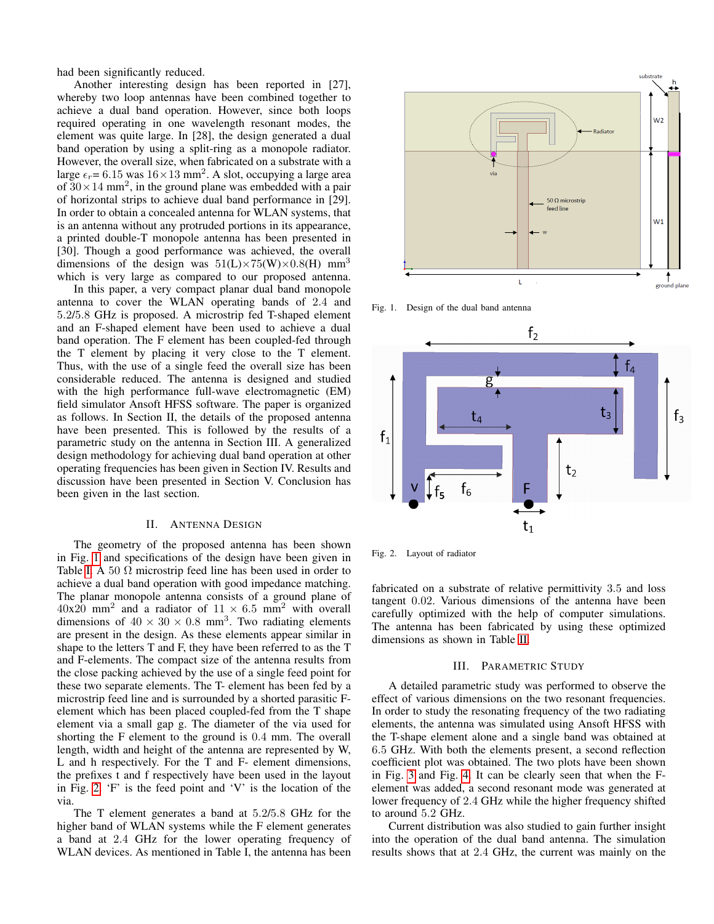had been significantly reduced.

Another interesting design has been reported in [27], whereby two loop antennas have been combined together to achieve a dual band operation. However, since both loops required operating in one wavelength resonant modes, the element was quite large. In [28], the design generated a dual band operation by using a split-ring as a monopole radiator. However, the overall size, when fabricated on a substrate with a large  $\epsilon_r$  = 6.15 was  $16 \times 13$  mm<sup>2</sup>. A slot, occupying a large area of  $30 \times 14$  mm<sup>2</sup>, in the ground plane was embedded with a pair of horizontal strips to achieve dual band performance in [29]. In order to obtain a concealed antenna for WLAN systems, that is an antenna without any protruded portions in its appearance, a printed double-T monopole antenna has been presented in [30]. Though a good performance was achieved, the overall dimensions of the design was  $51(L)\times 75(W)\times 0.8(H)$  mm<sup>3</sup> which is very large as compared to our proposed antenna.

In this paper, a very compact planar dual band monopole antenna to cover the WLAN operating bands of 2.4 and 5.2/5.8 GHz is proposed. A microstrip fed T-shaped element and an F-shaped element have been used to achieve a dual band operation. The F element has been coupled-fed through the T element by placing it very close to the T element. Thus, with the use of a single feed the overall size has been considerable reduced. The antenna is designed and studied with the high performance full-wave electromagnetic (EM) field simulator Ansoft HFSS software. The paper is organized as follows. In Section II, the details of the proposed antenna have been presented. This is followed by the results of a parametric study on the antenna in Section III. A generalized design methodology for achieving dual band operation at other operating frequencies has been given in Section IV. Results and discussion have been presented in Section V. Conclusion has been given in the last section.

# II. ANTENNA DESIGN

The geometry of the proposed antenna has been shown in Fig. [1](#page-1-0) and specifications of the design have been given in Table [I.](#page-2-0) A 50  $\Omega$  microstrip feed line has been used in order to achieve a dual band operation with good impedance matching. The planar monopole antenna consists of a ground plane of  $40x20$  mm<sup>2</sup> and a radiator of  $11 \times 6.5$  mm<sup>2</sup> with overall dimensions of  $40 \times 30 \times 0.8$  mm<sup>3</sup>. Two radiating elements are present in the design. As these elements appear similar in shape to the letters T and F, they have been referred to as the T and F-elements. The compact size of the antenna results from the close packing achieved by the use of a single feed point for these two separate elements. The T- element has been fed by a microstrip feed line and is surrounded by a shorted parasitic Felement which has been placed coupled-fed from the T shape element via a small gap g. The diameter of the via used for shorting the F element to the ground is 0.4 mm. The overall length, width and height of the antenna are represented by W, L and h respectively. For the T and F- element dimensions, the prefixes t and f respectively have been used in the layout in Fig. [2.](#page-1-1) 'F' is the feed point and 'V' is the location of the via.

The T element generates a band at 5.2/5.8 GHz for the higher band of WLAN systems while the F element generates a band at 2.4 GHz for the lower operating frequency of WLAN devices. As mentioned in Table I, the antenna has been



<span id="page-1-0"></span>Fig. 1. Design of the dual band antenna



<span id="page-1-1"></span>Fig. 2. Layout of radiator

fabricated on a substrate of relative permittivity 3.5 and loss tangent 0.02. Various dimensions of the antenna have been carefully optimized with the help of computer simulations. The antenna has been fabricated by using these optimized dimensions as shown in Table [II.](#page-2-1)

### III. PARAMETRIC STUDY

A detailed parametric study was performed to observe the effect of various dimensions on the two resonant frequencies. In order to study the resonating frequency of the two radiating elements, the antenna was simulated using Ansoft HFSS with the T-shape element alone and a single band was obtained at 6.5 GHz. With both the elements present, a second reflection coefficient plot was obtained. The two plots have been shown in Fig. [3](#page-2-2) and Fig. [4.](#page-2-3) It can be clearly seen that when the Felement was added, a second resonant mode was generated at lower frequency of 2.4 GHz while the higher frequency shifted to around 5.2 GHz.

Current distribution was also studied to gain further insight into the operation of the dual band antenna. The simulation results shows that at 2.4 GHz, the current was mainly on the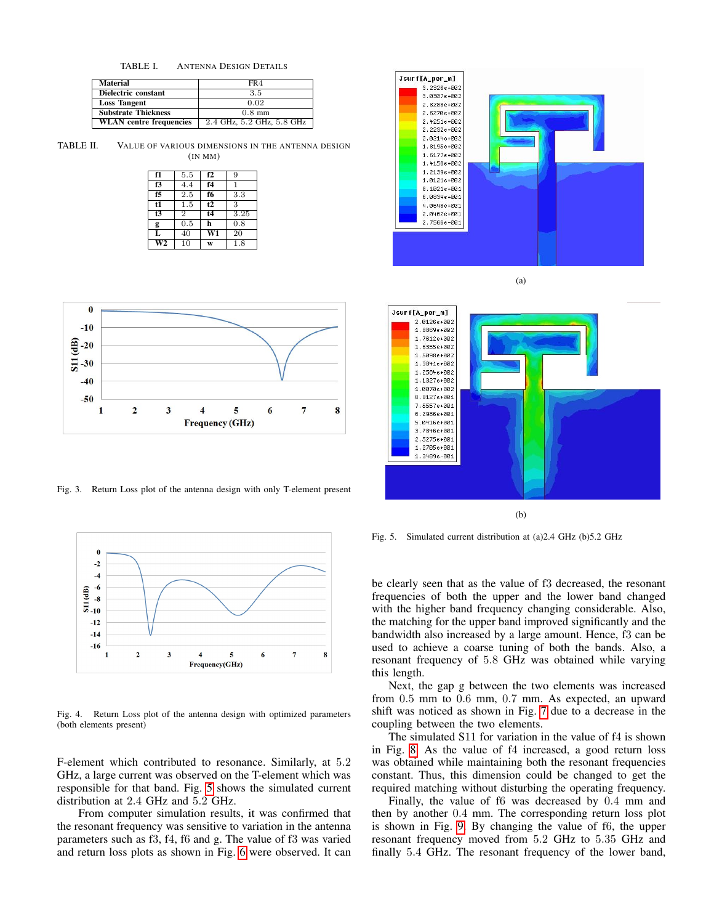<span id="page-2-0"></span>TABLE I. ANTENNA DESIGN DETAILS

| <b>Material</b>                | FR4                       |  |  |
|--------------------------------|---------------------------|--|--|
| Dielectric constant            | 3.5                       |  |  |
| <b>Loss Tangent</b>            | 0.02                      |  |  |
| <b>Substrate Thickness</b>     | $0.8$ mm                  |  |  |
| <b>WLAN</b> centre frequencies | 2.4 GHz, 5.2 GHz, 5.8 GHz |  |  |

TABLE II. VALUE OF VARIOUS DIMENSIONS IN THE ANTENNA DESIGN (IN MM)

<span id="page-2-1"></span>

| f1                     | 5.5            | f2             | 9    |
|------------------------|----------------|----------------|------|
| f3                     | 4.4            | f <sub>4</sub> | 1    |
| f5                     | 2.5            | f6             | 3.3  |
| t1                     | 1.5            | t2             | 3    |
| t3                     | $\overline{2}$ | t4             | 3.25 |
| g                      | 0.5            | h              | 0.8  |
| L                      | 40             | W1             | 20   |
| $\overline{\text{W2}}$ | 10             | W              | 1.8  |



<span id="page-2-2"></span>Fig. 3. Return Loss plot of the antenna design with only T-element present



<span id="page-2-3"></span>Fig. 4. Return Loss plot of the antenna design with optimized parameters (both elements present)

F-element which contributed to resonance. Similarly, at 5.2 GHz, a large current was observed on the T-element which was responsible for that band. Fig. [5](#page-2-4) shows the simulated current distribution at 2.4 GHz and 5.2 GHz.

From computer simulation results, it was confirmed that the resonant frequency was sensitive to variation in the antenna parameters such as f3, f4, f6 and g. The value of f3 was varied and return loss plots as shown in Fig. [6](#page-3-0) were observed. It can



(a)



(b)

<span id="page-2-4"></span>Fig. 5. Simulated current distribution at (a)2.4 GHz (b)5.2 GHz

be clearly seen that as the value of f3 decreased, the resonant frequencies of both the upper and the lower band changed with the higher band frequency changing considerable. Also, the matching for the upper band improved significantly and the bandwidth also increased by a large amount. Hence, f3 can be used to achieve a coarse tuning of both the bands. Also, a resonant frequency of 5.8 GHz was obtained while varying this length.

Next, the gap g between the two elements was increased from 0.5 mm to 0.6 mm, 0.7 mm. As expected, an upward shift was noticed as shown in Fig. [7](#page-3-1) due to a decrease in the coupling between the two elements.

The simulated S11 for variation in the value of f4 is shown in Fig. [8.](#page-3-2) As the value of f4 increased, a good return loss was obtained while maintaining both the resonant frequencies constant. Thus, this dimension could be changed to get the required matching without disturbing the operating frequency.

Finally, the value of f6 was decreased by 0.4 mm and then by another 0.4 mm. The corresponding return loss plot is shown in Fig. [9.](#page-3-3) By changing the value of f6, the upper resonant frequency moved from 5.2 GHz to 5.35 GHz and finally 5.4 GHz. The resonant frequency of the lower band,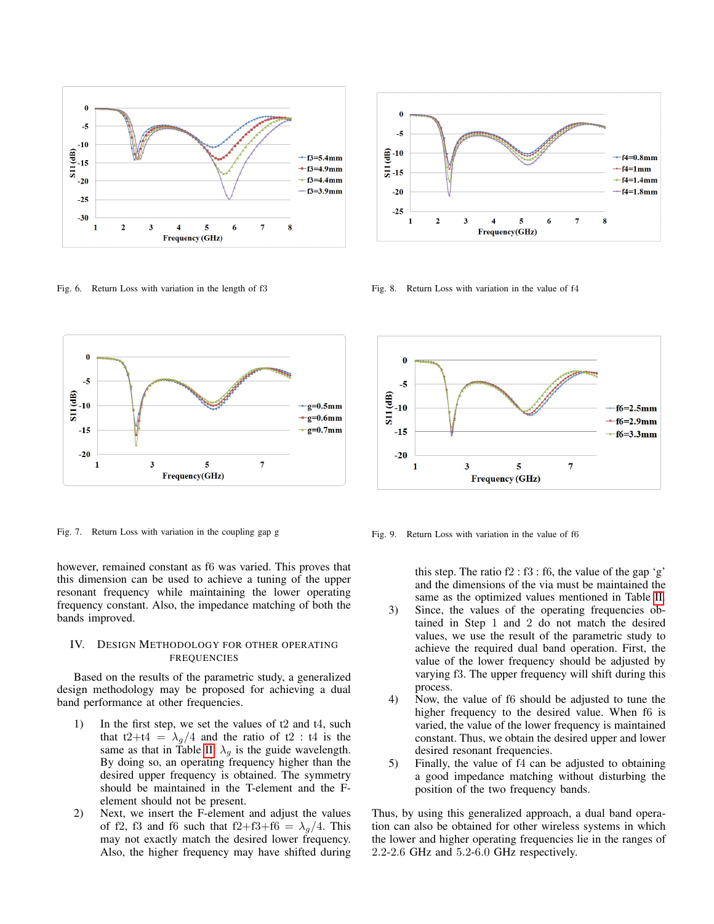

<span id="page-3-0"></span>Fig. 6. Return Loss with variation in the length of f3



<span id="page-3-1"></span>Fig. 7. Return Loss with variation in the coupling gap g

however, remained constant as f6 was varied. This proves that this dimension can be used to achieve a tuning of the upper resonant frequency while maintaining the lower operating frequency constant. Also, the impedance matching of both the bands improved.

# IV. DESIGN METHODOLOGY FOR OTHER OPERATING FREQUENCIES

Based on the results of the parametric study, a generalized design methodology may be proposed for achieving a dual band performance at other frequencies.

- 1) In the first step, we set the values of t2 and t4, such that t2+t4 =  $\lambda_q/4$  and the ratio of t2 : t4 is the same as that in Table [II.](#page-2-1)  $\lambda_g$  is the guide wavelength. By doing so, an operating frequency higher than the desired upper frequency is obtained. The symmetry should be maintained in the T-element and the Felement should not be present.
- 2) Next, we insert the F-element and adjust the values of f2, f3 and f6 such that f2+f3+f6 =  $\lambda_g/4$ . This may not exactly match the desired lower frequency. Also, the higher frequency may have shifted during



<span id="page-3-2"></span>Fig. 8. Return Loss with variation in the value of f4



<span id="page-3-3"></span>Fig. 9. Return Loss with variation in the value of f6

this step. The ratio  $f2 : f3 : f6$ , the value of the gap 'g' and the dimensions of the via must be maintained the same as the optimized values mentioned in Table [II.](#page-2-1)

- 3) Since, the values of the operating frequencies obtained in Step 1 and 2 do not match the desired values, we use the result of the parametric study to achieve the required dual band operation. First, the value of the lower frequency should be adjusted by varying f3. The upper frequency will shift during this process.
- 4) Now, the value of f6 should be adjusted to tune the higher frequency to the desired value. When f6 is varied, the value of the lower frequency is maintained constant. Thus, we obtain the desired upper and lower desired resonant frequencies.
- 5) Finally, the value of f4 can be adjusted to obtaining a good impedance matching without disturbing the position of the two frequency bands.

Thus, by using this generalized approach, a dual band operation can also be obtained for other wireless systems in which the lower and higher operating frequencies lie in the ranges of 2.2-2.6 GHz and 5.2-6.0 GHz respectively.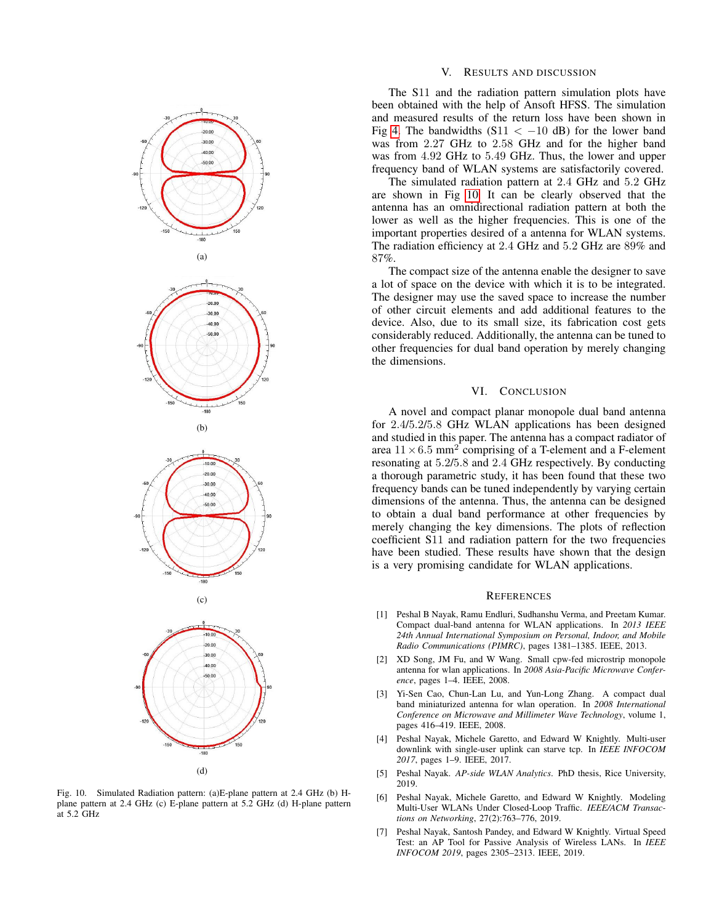



<span id="page-4-0"></span>Fig. 10. Simulated Radiation pattern: (a)E-plane pattern at 2.4 GHz (b) Hplane pattern at 2.4 GHz (c) E-plane pattern at 5.2 GHz (d) H-plane pattern at 5.2 GHz

## V. RESULTS AND DISCUSSION

The S11 and the radiation pattern simulation plots have been obtained with the help of Ansoft HFSS. The simulation and measured results of the return loss have been shown in Fig [4.](#page-2-3) The bandwidths  $(S11 < -10$  dB) for the lower band was from 2.27 GHz to 2.58 GHz and for the higher band was from 4.92 GHz to 5.49 GHz. Thus, the lower and upper frequency band of WLAN systems are satisfactorily covered.

The simulated radiation pattern at 2.4 GHz and 5.2 GHz are shown in Fig [10.](#page-4-0) It can be clearly observed that the antenna has an omnidirectional radiation pattern at both the lower as well as the higher frequencies. This is one of the important properties desired of a antenna for WLAN systems. The radiation efficiency at 2.4 GHz and 5.2 GHz are 89% and 87%.

The compact size of the antenna enable the designer to save a lot of space on the device with which it is to be integrated. The designer may use the saved space to increase the number of other circuit elements and add additional features to the device. Also, due to its small size, its fabrication cost gets considerably reduced. Additionally, the antenna can be tuned to other frequencies for dual band operation by merely changing the dimensions.

## VI. CONCLUSION

A novel and compact planar monopole dual band antenna for 2.4/5.2/5.8 GHz WLAN applications has been designed and studied in this paper. The antenna has a compact radiator of area  $11 \times 6.5$  mm<sup>2</sup> comprising of a T-element and a F-element resonating at 5.2/5.8 and 2.4 GHz respectively. By conducting a thorough parametric study, it has been found that these two frequency bands can be tuned independently by varying certain dimensions of the antenna. Thus, the antenna can be designed to obtain a dual band performance at other frequencies by merely changing the key dimensions. The plots of reflection coefficient S11 and radiation pattern for the two frequencies have been studied. These results have shown that the design is a very promising candidate for WLAN applications.

#### **REFERENCES**

- [1] Peshal B Nayak, Ramu Endluri, Sudhanshu Verma, and Preetam Kumar. Compact dual-band antenna for WLAN applications. In *2013 IEEE 24th Annual International Symposium on Personal, Indoor, and Mobile Radio Communications (PIMRC)*, pages 1381–1385. IEEE, 2013.
- [2] XD Song, JM Fu, and W Wang. Small cpw-fed microstrip monopole antenna for wlan applications. In *2008 Asia-Pacific Microwave Conference*, pages 1–4. IEEE, 2008.
- [3] Yi-Sen Cao, Chun-Lan Lu, and Yun-Long Zhang. A compact dual band miniaturized antenna for wlan operation. In *2008 International Conference on Microwave and Millimeter Wave Technology*, volume 1, pages 416–419. IEEE, 2008.
- [4] Peshal Nayak, Michele Garetto, and Edward W Knightly. Multi-user downlink with single-user uplink can starve tcp. In *IEEE INFOCOM 2017*, pages 1–9. IEEE, 2017.
- [5] Peshal Nayak. *AP-side WLAN Analytics*. PhD thesis, Rice University, 2019.
- [6] Peshal Nayak, Michele Garetto, and Edward W Knightly. Modeling Multi-User WLANs Under Closed-Loop Traffic. *IEEE/ACM Transactions on Networking*, 27(2):763–776, 2019.
- [7] Peshal Nayak, Santosh Pandey, and Edward W Knightly. Virtual Speed Test: an AP Tool for Passive Analysis of Wireless LANs. In *IEEE INFOCOM 2019*, pages 2305–2313. IEEE, 2019.